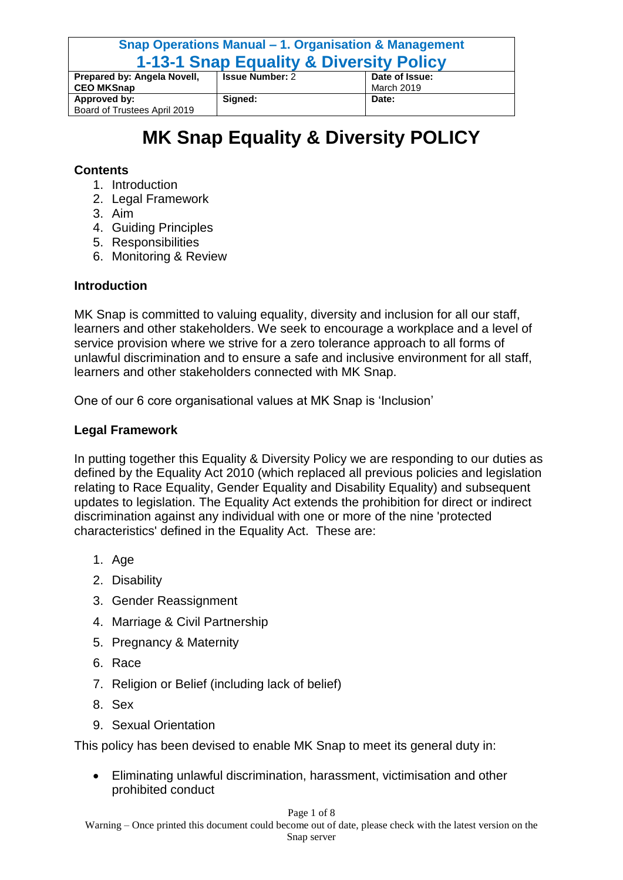| Snap Operations Manual – 1. Organisation & Management<br><b>1-13-1 Snap Equality &amp; Diversity Policy</b> |                        |                              |
|-------------------------------------------------------------------------------------------------------------|------------------------|------------------------------|
| Prepared by: Angela Novell,<br><b>CEO MKSnap</b>                                                            | <b>Issue Number: 2</b> | Date of Issue:<br>March 2019 |
| Approved by:                                                                                                | Signed:                | Date:                        |
| Board of Trustees April 2019                                                                                |                        |                              |

# **MK Snap Equality & Diversity POLICY**

#### **Contents**

- 1. Introduction
- 2. Legal Framework
- 3. Aim
- 4. Guiding Principles
- 5. Responsibilities
- 6. Monitoring & Review

#### **Introduction**

MK Snap is committed to valuing equality, diversity and inclusion for all our staff, learners and other stakeholders. We seek to encourage a workplace and a level of service provision where we strive for a zero tolerance approach to all forms of unlawful discrimination and to ensure a safe and inclusive environment for all staff, learners and other stakeholders connected with MK Snap.

One of our 6 core organisational values at MK Snap is 'Inclusion'

#### **Legal Framework**

In putting together this Equality & Diversity Policy we are responding to our duties as defined by the Equality Act 2010 (which replaced all previous policies and legislation relating to Race Equality, Gender Equality and Disability Equality) and subsequent updates to legislation. The Equality Act extends the prohibition for direct or indirect discrimination against any individual with one or more of the nine 'protected characteristics' defined in the Equality Act. These are:

- 1. Age
- 2. Disability
- 3. Gender Reassignment
- 4. Marriage & Civil Partnership
- 5. Pregnancy & Maternity
- 6. Race
- 7. Religion or Belief (including lack of belief)
- 8. Sex
- 9. Sexual Orientation

This policy has been devised to enable MK Snap to meet its general duty in:

 Eliminating unlawful discrimination, harassment, victimisation and other prohibited conduct

#### Page 1 of 8

Warning – Once printed this document could become out of date, please check with the latest version on the Snap server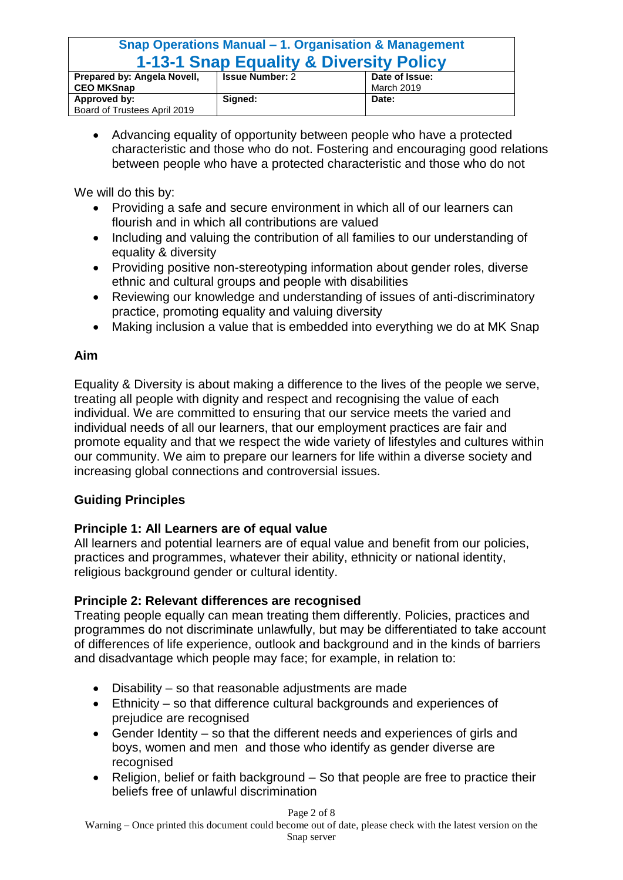### **Snap Operations Manual – 1. Organisation & Management 1-13-1 Snap Equality & Diversity Policy**

|                              |                        | -----------    |
|------------------------------|------------------------|----------------|
| Prepared by: Angela Novell,  | <b>Issue Number: 2</b> | Date of Issue: |
| <b>CEO MKSnap</b>            |                        | March 2019     |
| Approved by:                 | Signed:                | Date:          |
| Board of Trustees April 2019 |                        |                |

 Advancing equality of opportunity between people who have a protected characteristic and those who do not. Fostering and encouraging good relations between people who have a protected characteristic and those who do not

We will do this by:

- Providing a safe and secure environment in which all of our learners can flourish and in which all contributions are valued
- Including and valuing the contribution of all families to our understanding of equality & diversity
- Providing positive non-stereotyping information about gender roles, diverse ethnic and cultural groups and people with disabilities
- Reviewing our knowledge and understanding of issues of anti-discriminatory practice, promoting equality and valuing diversity
- Making inclusion a value that is embedded into everything we do at MK Snap

#### **Aim**

Equality & Diversity is about making a difference to the lives of the people we serve, treating all people with dignity and respect and recognising the value of each individual. We are committed to ensuring that our service meets the varied and individual needs of all our learners, that our employment practices are fair and promote equality and that we respect the wide variety of lifestyles and cultures within our community. We aim to prepare our learners for life within a diverse society and increasing global connections and controversial issues.

### **Guiding Principles**

#### **Principle 1: All Learners are of equal value**

All learners and potential learners are of equal value and benefit from our policies, practices and programmes, whatever their ability, ethnicity or national identity, religious background gender or cultural identity.

#### **Principle 2: Relevant differences are recognised**

Treating people equally can mean treating them differently. Policies, practices and programmes do not discriminate unlawfully, but may be differentiated to take account of differences of life experience, outlook and background and in the kinds of barriers and disadvantage which people may face; for example, in relation to:

- Disability so that reasonable adjustments are made
- Ethnicity so that difference cultural backgrounds and experiences of prejudice are recognised
- Gender Identity so that the different needs and experiences of girls and boys, women and men and those who identify as gender diverse are recognised
- Religion, belief or faith background So that people are free to practice their beliefs free of unlawful discrimination

#### Page 2 of 8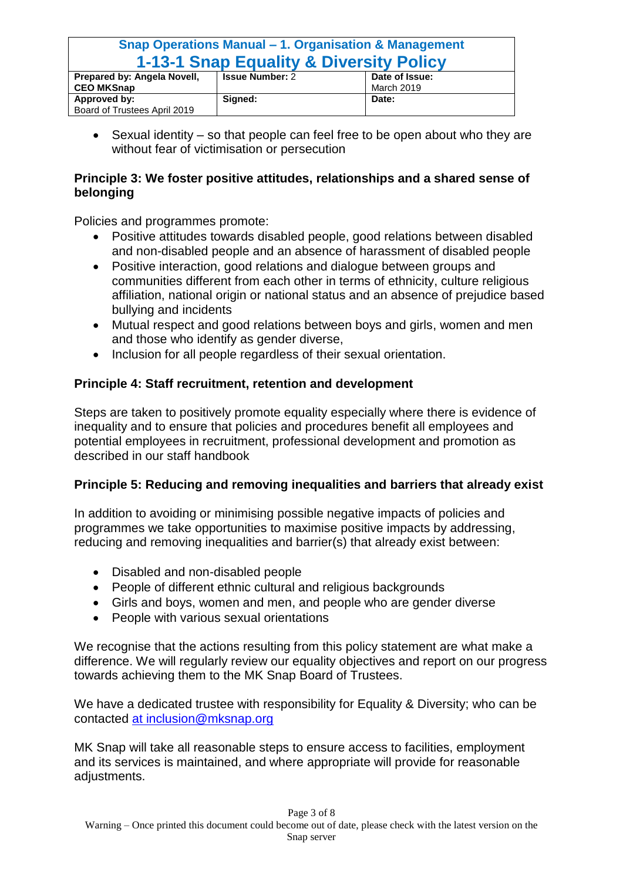## **Snap Operations Manual – 1. Organisation & Management 1-13-1 Snap Equality & Diversity Policy**

| Prepared by: Angela Novell,  | <b>Issue Number: 2</b> | Date of Issue: |
|------------------------------|------------------------|----------------|
| <b>CEO MKSnap</b>            |                        | March 2019     |
| Approved by:                 | Sianed:                | Date:          |
| Board of Trustees April 2019 |                        |                |

• Sexual identity – so that people can feel free to be open about who they are without fear of victimisation or persecution

#### **Principle 3: We foster positive attitudes, relationships and a shared sense of belonging**

Policies and programmes promote:

- Positive attitudes towards disabled people, good relations between disabled and non-disabled people and an absence of harassment of disabled people
- Positive interaction, good relations and dialogue between groups and communities different from each other in terms of ethnicity, culture religious affiliation, national origin or national status and an absence of prejudice based bullying and incidents
- Mutual respect and good relations between boys and girls, women and men and those who identify as gender diverse,
- Inclusion for all people regardless of their sexual orientation.

### **Principle 4: Staff recruitment, retention and development**

Steps are taken to positively promote equality especially where there is evidence of inequality and to ensure that policies and procedures benefit all employees and potential employees in recruitment, professional development and promotion as described in our staff handbook

#### **Principle 5: Reducing and removing inequalities and barriers that already exist**

In addition to avoiding or minimising possible negative impacts of policies and programmes we take opportunities to maximise positive impacts by addressing, reducing and removing inequalities and barrier(s) that already exist between:

- Disabled and non-disabled people
- People of different ethnic cultural and religious backgrounds
- Girls and boys, women and men, and people who are gender diverse
- People with various sexual orientations

We recognise that the actions resulting from this policy statement are what make a difference. We will regularly review our equality objectives and report on our progress towards achieving them to the MK Snap Board of Trustees.

We have a dedicated trustee with responsibility for Equality & Diversity; who can be contacted at [inclusion@mksnap.org](mailto:at%20inclusion@mksnap.org)

MK Snap will take all reasonable steps to ensure access to facilities, employment and its services is maintained, and where appropriate will provide for reasonable adjustments.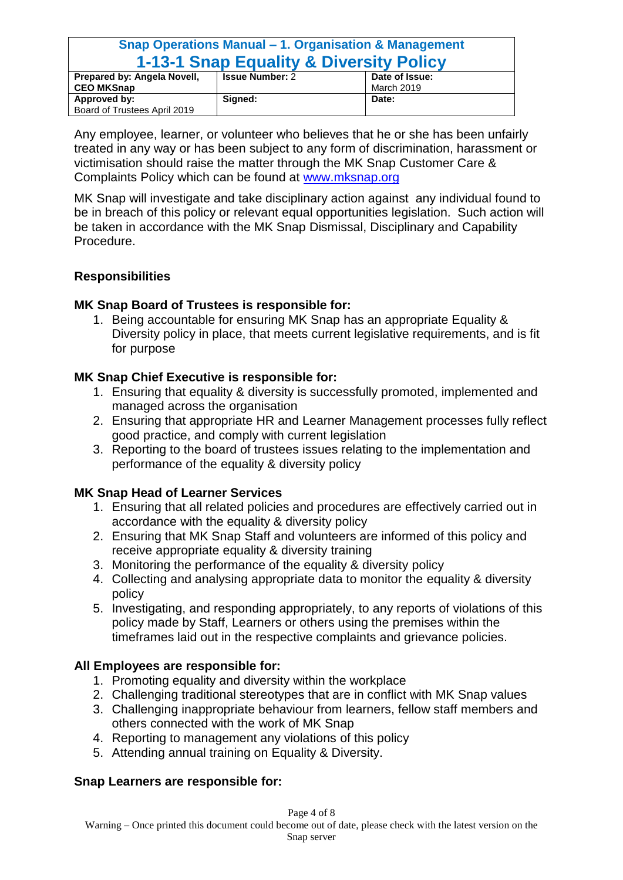| Snap Operations Manual – 1. Organisation & Management |                        |                |
|-------------------------------------------------------|------------------------|----------------|
| <b>1-13-1 Snap Equality &amp; Diversity Policy</b>    |                        |                |
| Prepared by: Angela Novell,                           | <b>Issue Number: 2</b> | Date of Issue: |
| <b>CEO MKSnap</b>                                     |                        | March 2019     |
| Approved by:                                          | Signed:                | Date:          |
| Board of Trustees April 2019                          |                        |                |

Any employee, learner, or volunteer who believes that he or she has been unfairly treated in any way or has been subject to any form of discrimination, harassment or victimisation should raise the matter through the MK Snap Customer Care & Complaints Policy which can be found at [www.mksnap.org](http://www.mksnap.org/)

MK Snap will investigate and take disciplinary action against any individual found to be in breach of this policy or relevant equal opportunities legislation. Such action will be taken in accordance with the MK Snap Dismissal, Disciplinary and Capability Procedure.

#### **Responsibilities**

#### **MK Snap Board of Trustees is responsible for:**

1. Being accountable for ensuring MK Snap has an appropriate Equality & Diversity policy in place, that meets current legislative requirements, and is fit for purpose

#### **MK Snap Chief Executive is responsible for:**

- 1. Ensuring that equality & diversity is successfully promoted, implemented and managed across the organisation
- 2. Ensuring that appropriate HR and Learner Management processes fully reflect good practice, and comply with current legislation
- 3. Reporting to the board of trustees issues relating to the implementation and performance of the equality & diversity policy

#### **MK Snap Head of Learner Services**

- 1. Ensuring that all related policies and procedures are effectively carried out in accordance with the equality & diversity policy
- 2. Ensuring that MK Snap Staff and volunteers are informed of this policy and receive appropriate equality & diversity training
- 3. Monitoring the performance of the equality & diversity policy
- 4. Collecting and analysing appropriate data to monitor the equality & diversity policy
- 5. Investigating, and responding appropriately, to any reports of violations of this policy made by Staff, Learners or others using the premises within the timeframes laid out in the respective complaints and grievance policies.

#### **All Employees are responsible for:**

- 1. Promoting equality and diversity within the workplace
- 2. Challenging traditional stereotypes that are in conflict with MK Snap values
- 3. Challenging inappropriate behaviour from learners, fellow staff members and others connected with the work of MK Snap
- 4. Reporting to management any violations of this policy
- 5. Attending annual training on Equality & Diversity.

#### **Snap Learners are responsible for:**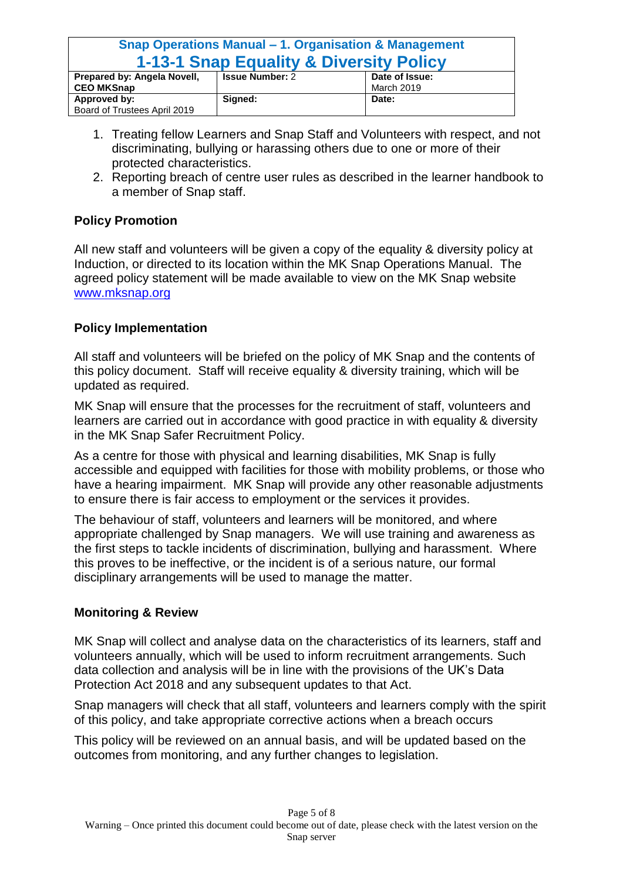### **Snap Operations Manual – 1. Organisation & Management 1-13-1 Snap Equality & Diversity Policy**

| Prepared by: Angela Novell,  | <b>Issue Number: 2</b> | Date of Issue: |
|------------------------------|------------------------|----------------|
| <b>CEO MKSnap</b>            |                        | March 2019     |
| Approved by:                 | Sianed:                | Date:          |
| Board of Trustees April 2019 |                        |                |

- 1. Treating fellow Learners and Snap Staff and Volunteers with respect, and not discriminating, bullying or harassing others due to one or more of their protected characteristics.
- 2. Reporting breach of centre user rules as described in the learner handbook to a member of Snap staff.

#### **Policy Promotion**

All new staff and volunteers will be given a copy of the equality & diversity policy at Induction, or directed to its location within the MK Snap Operations Manual. The agreed policy statement will be made available to view on the MK Snap website [www.mksnap.org](http://www.mksnap.org/)

#### **Policy Implementation**

All staff and volunteers will be briefed on the policy of MK Snap and the contents of this policy document. Staff will receive equality & diversity training, which will be updated as required.

MK Snap will ensure that the processes for the recruitment of staff, volunteers and learners are carried out in accordance with good practice in with equality & diversity in the MK Snap Safer Recruitment Policy.

As a centre for those with physical and learning disabilities, MK Snap is fully accessible and equipped with facilities for those with mobility problems, or those who have a hearing impairment. MK Snap will provide any other reasonable adjustments to ensure there is fair access to employment or the services it provides.

The behaviour of staff, volunteers and learners will be monitored, and where appropriate challenged by Snap managers. We will use training and awareness as the first steps to tackle incidents of discrimination, bullying and harassment. Where this proves to be ineffective, or the incident is of a serious nature, our formal disciplinary arrangements will be used to manage the matter.

#### **Monitoring & Review**

MK Snap will collect and analyse data on the characteristics of its learners, staff and volunteers annually, which will be used to inform recruitment arrangements. Such data collection and analysis will be in line with the provisions of the UK's Data Protection Act 2018 and any subsequent updates to that Act.

Snap managers will check that all staff, volunteers and learners comply with the spirit of this policy, and take appropriate corrective actions when a breach occurs

This policy will be reviewed on an annual basis, and will be updated based on the outcomes from monitoring, and any further changes to legislation.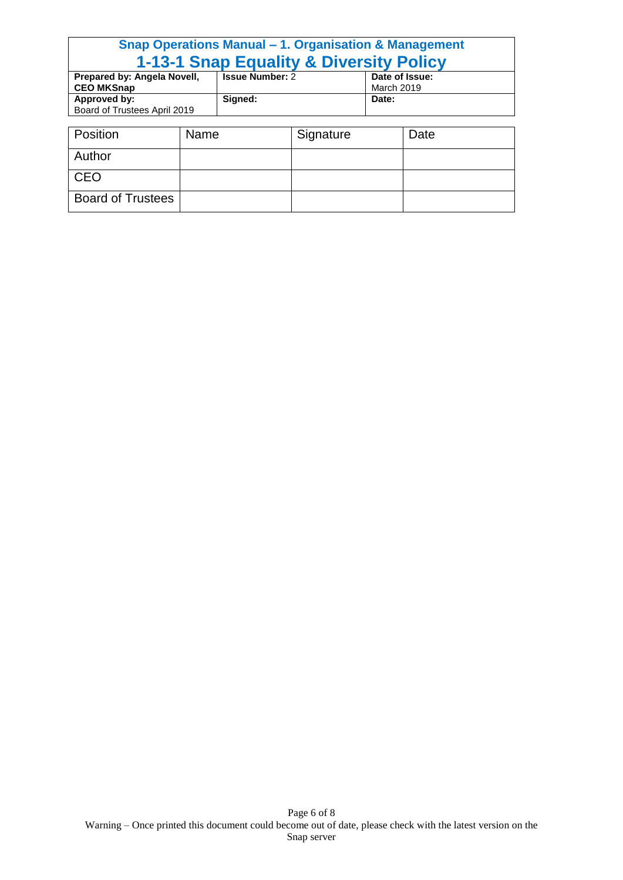#### **Snap Operations Manual – 1. Organisation & Management 1-13-1 Snap Equality & Diversity Policy Prepared by: Angela Novell, CEO MKSnap Issue Number:** 2 **Date of Issue:** March 2019 **Approved by:** Board of Trustees April 2019 **Signed: Date:**

| Position                 | Name | Signature | Date |
|--------------------------|------|-----------|------|
| Author                   |      |           |      |
| CEO                      |      |           |      |
| <b>Board of Trustees</b> |      |           |      |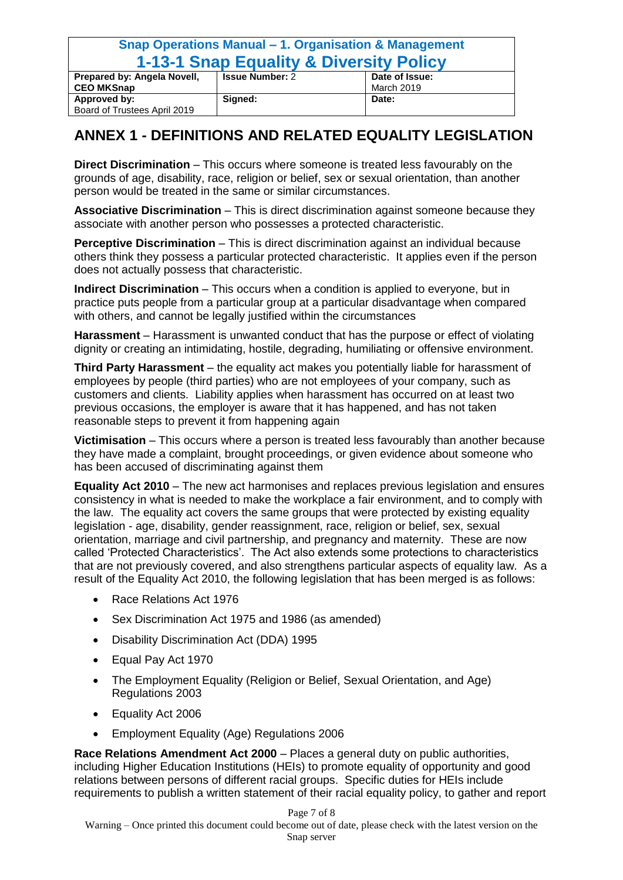| Snap Operations Manual – 1. Organisation & Management |                        |                |
|-------------------------------------------------------|------------------------|----------------|
| <b>1-13-1 Snap Equality &amp; Diversity Policy</b>    |                        |                |
| Prepared by: Angela Novell,                           | <b>Issue Number: 2</b> | Date of Issue: |
| <b>CEO MKSnap</b>                                     |                        | March 2019     |
| Approved by:                                          | Signed:                | Date:          |
| Board of Trustees April 2019                          |                        |                |

### **ANNEX 1 - DEFINITIONS AND RELATED EQUALITY LEGISLATION**

**Direct Discrimination** – This occurs where someone is treated less favourably on the grounds of age, disability, race, religion or belief, sex or sexual orientation, than another person would be treated in the same or similar circumstances.

**Associative Discrimination** – This is direct discrimination against someone because they associate with another person who possesses a protected characteristic.

**Perceptive Discrimination** – This is direct discrimination against an individual because others think they possess a particular protected characteristic. It applies even if the person does not actually possess that characteristic.

**Indirect Discrimination** – This occurs when a condition is applied to everyone, but in practice puts people from a particular group at a particular disadvantage when compared with others, and cannot be legally justified within the circumstances

**Harassment** – Harassment is unwanted conduct that has the purpose or effect of violating dignity or creating an intimidating, hostile, degrading, humiliating or offensive environment.

**Third Party Harassment** – the equality act makes you potentially liable for harassment of employees by people (third parties) who are not employees of your company, such as customers and clients. Liability applies when harassment has occurred on at least two previous occasions, the employer is aware that it has happened, and has not taken reasonable steps to prevent it from happening again

**Victimisation** – This occurs where a person is treated less favourably than another because they have made a complaint, brought proceedings, or given evidence about someone who has been accused of discriminating against them

**Equality Act 2010** – The new act harmonises and replaces previous legislation and ensures consistency in what is needed to make the workplace a fair environment, and to comply with the law. The equality act covers the same groups that were protected by existing equality legislation - age, disability, gender reassignment, race, religion or belief, sex, sexual orientation, marriage and civil partnership, and pregnancy and maternity. These are now called 'Protected Characteristics'. The Act also extends some protections to characteristics that are not previously covered, and also strengthens particular aspects of equality law. As a result of the Equality Act 2010, the following legislation that has been merged is as follows:

- Race Relations Act 1976
- Sex Discrimination Act 1975 and 1986 (as amended)
- Disability Discrimination Act (DDA) 1995
- Equal Pay Act 1970
- The Employment Equality (Religion or Belief, Sexual Orientation, and Age) Regulations 2003
- Equality Act 2006
- Employment Equality (Age) Regulations 2006

**Race Relations Amendment Act 2000** – Places a general duty on public authorities, including Higher Education Institutions (HEIs) to promote equality of opportunity and good relations between persons of different racial groups. Specific duties for HEIs include requirements to publish a written statement of their racial equality policy, to gather and report